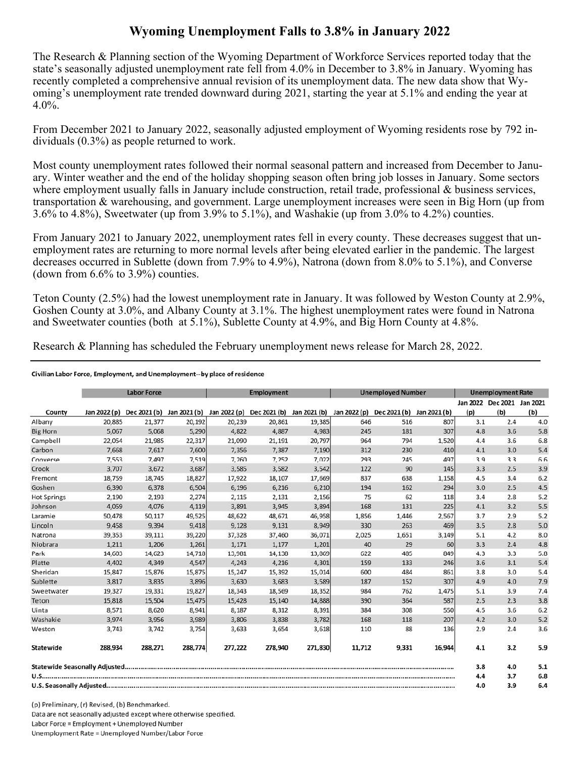## **Wyoming Unemployment Falls to 3.8% in January 2022**

The Research & Planning section of the Wyoming Department of Workforce Services reported today that the state's seasonally adjusted unemployment rate fell from 4.0% in December to 3.8% in January. Wyoming has recently completed a comprehensive annual revision of its unemployment data. The new data show that Wyoming's unemployment rate trended downward during 2021, starting the year at 5.1% and ending the year at 4.0%.

From December 2021 to January 2022, seasonally adjusted employment of Wyoming residents rose by 792 individuals (0.3%) as people returned to work.

Most county unemployment rates followed their normal seasonal pattern and increased from December to January. Winter weather and the end of the holiday shopping season often bring job losses in January. Some sectors where employment usually falls in January include construction, retail trade, professional & business services, transportation & warehousing, and government. Large unemployment increases were seen in Big Horn (up from 3.6% to 4.8%), Sweetwater (up from 3.9% to 5.1%), and Washakie (up from 3.0% to 4.2%) counties.

From January 2021 to January 2022, unemployment rates fell in every county. These decreases suggest that unemployment rates are returning to more normal levels after being elevated earlier in the pandemic. The largest decreases occurred in Sublette (down from 7.9% to 4.9%), Natrona (down from 8.0% to 5.1%), and Converse (down from 6.6% to 3.9%) counties.

Teton County (2.5%) had the lowest unemployment rate in January. It was followed by Weston County at 2.9%, Goshen County at 3.0%, and Albany County at 3.1%. The highest unemployment rates were found in Natrona and Sweetwater counties (both at 5.1%), Sublette County at 4.9%, and Big Horn County at 4.8%.

Research & Planning has scheduled the February unemployment news release for March 28, 2022.

## Civilian Labor Force, Employment, and Unemployment--by place of residence

|                    | <b>Labor Force</b> |                                                                                            |         | <b>Employment</b> |         |         | <b>Unemployed Number</b> |              |              | <b>Unemployment Rate</b> |                            |     |
|--------------------|--------------------|--------------------------------------------------------------------------------------------|---------|-------------------|---------|---------|--------------------------|--------------|--------------|--------------------------|----------------------------|-----|
|                    |                    |                                                                                            |         |                   |         |         |                          |              |              |                          | Jan 2022 Dec 2021 Jan 2021 |     |
| County             |                    | Jan 2022 (p) Dec 2021 (b) Jan 2021 (b) Jan 2022 (p) Dec 2021 (b) Jan 2021 (b) Jan 2022 (p) |         |                   |         |         |                          | Dec 2021 (b) | Jan 2021 (b) | (p)                      | (b)                        | (b) |
| Albany             | 20,885             | 21,377                                                                                     | 20,192  | 20,239            | 20,861  | 19,385  | 646                      | 516          | 807          | 3.1                      | 2.4                        | 4.0 |
| <b>Big Horn</b>    | 5,067              | 5,068                                                                                      | 5,290   | 4,822             | 4,887   | 4,983   | 245                      | 181          | 307          | 4.8                      | 3.6                        | 5.8 |
| Campbell           | 22,054             | 21,985                                                                                     | 22,317  | 21,090            | 21,191  | 20,797  | 964                      | 794          | 1,520        | 4.4                      | 3.6                        | 6.8 |
| Carbon             | 7,668              | 7,617                                                                                      | 7,600   | 7,356             | 7,387   | 7,190   | 312                      | 230          | 410          | 4.1                      | 3.0                        | 5.4 |
| Converse           | 7,553              | 7,497                                                                                      | 7,519   | 7,260             | 7,252   | 7,022   | 293                      | 245          | 497          | 3.9                      | 3.3                        | 6.6 |
| Crook              | 3,707              | 3,672                                                                                      | 3,687   | 3,585             | 3,582   | 3,542   | 122                      | 90           | 145          | 3.3                      | 2.5                        | 3.9 |
| Fremont            | 18,759             | 18,745                                                                                     | 18,827  | 17,922            | 18,107  | 17,669  | 837                      | 638          | 1,158        | 4.5                      | 3.4                        | 6.2 |
| Goshen             | 6,390              | 6,378                                                                                      | 6,504   | 6,196             | 6,216   | 6,210   | 194                      | 162          | 294          | 3.0                      | 2.5                        | 4.5 |
| <b>Hot Springs</b> | 2,190              | 2,193                                                                                      | 2,274   | 2,115             | 2,131   | 2,156   | 75                       | 62           | 118          | 3.4                      | 2.8                        | 5.2 |
| Johnson            | 4,059              | 4,076                                                                                      | 4,119   | 3,891             | 3,945   | 3,894   | 168                      | 131          | 225          | 4.1                      | 3.2                        | 5.5 |
| Laramie            | 50,478             | 50,117                                                                                     | 49,525  | 48,622            | 48,671  | 46,958  | 1,856                    | 1,446        | 2,567        | 3.7                      | 2.9                        | 5.2 |
| Lincoln            | 9,458              | 9,394                                                                                      | 9,418   | 9,128             | 9,131   | 8,949   | 330                      | 263          | 469          | 3.5                      | 2.8                        | 5.0 |
| Natrona            | 39,353             | 39,111                                                                                     | 39,220  | 37,328            | 37,460  | 36,071  | 2,025                    | 1,651        | 3,149        | 5.1                      | 4.2                        | 8.0 |
| Niobrara           | 1,211              | 1,206                                                                                      | 1,261   | 1,171             | 1,177   | 1,201   | 40                       | 29           | 60           | 3.3                      | 2.4                        | 4.8 |
| Park               | 14,603             | 14,623                                                                                     | 14,718  | 13,981            | 14,138  | 13,869  | 622                      | 485          | 849          | 4.3                      | 3.3                        | 5.8 |
| Platte             | 4,402              | 4,349                                                                                      | 4,547   | 4,243             | 4,216   | 4,301   | 159                      | 133          | 246          | 3.6                      | 3.1                        | 5.4 |
| Sheridan           | 15,847             | 15,876                                                                                     | 15,875  | 15,247            | 15,392  | 15,014  | 600                      | 484          | 861          | 3.8                      | 3.0                        | 5.4 |
| Sublette           | 3,817              | 3,835                                                                                      | 3,896   | 3,630             | 3,683   | 3,589   | 187                      | 152          | 307          | 4.9                      | 4.0                        | 7.9 |
| Sweetwater         | 19,327             | 19,331                                                                                     | 19,827  | 18,343            | 18,569  | 18,352  | 984                      | 762          | 1,475        | 5.1                      | 3.9                        | 7.4 |
| Teton              | 15,818             | 15,504                                                                                     | 15,475  | 15,428            | 15,140  | 14,888  | 390                      | 364          | 587          | 2.5                      | 2.3                        | 3.8 |
| Uinta              | 8,571              | 8,620                                                                                      | 8,941   | 8,187             | 8,312   | 8,391   | 384                      | 308          | 550          | 4.5                      | 3.6                        | 6.2 |
| Washakie           | 3.974              | 3,956                                                                                      | 3,989   | 3,806             | 3,838   | 3,782   | 168                      | 118          | 207          | 4.2                      | 3.0                        | 5.2 |
| Weston             | 3,743              | 3,742                                                                                      | 3,754   | 3,633             | 3,654   | 3,618   | 110                      | 88           | 136          | 2.9                      | 2.4                        | 3.6 |
| Statewide          | 288,934            | 288,271                                                                                    | 288,774 | 277,222           | 278,940 | 271,830 | 11,712                   | 9,331        | 16,944       | 4.1                      | 3.2                        | 5.9 |
|                    |                    |                                                                                            |         |                   |         |         |                          |              |              | 3.8                      | 4.0                        | 5.1 |
|                    |                    |                                                                                            |         |                   |         |         |                          |              |              | 4.4                      | 3.7                        | 6.8 |
|                    |                    |                                                                                            |         |                   |         |         |                          |              |              | 4.0                      | 3.9                        | 6.4 |

(p) Preliminary, (r) Revised, (b) Benchmarked. Data are not seasonally adjusted except where otherwise specified. Labor Force = Employment + Unemployed Number Unemployment Rate = Unemployed Number/Labor Force